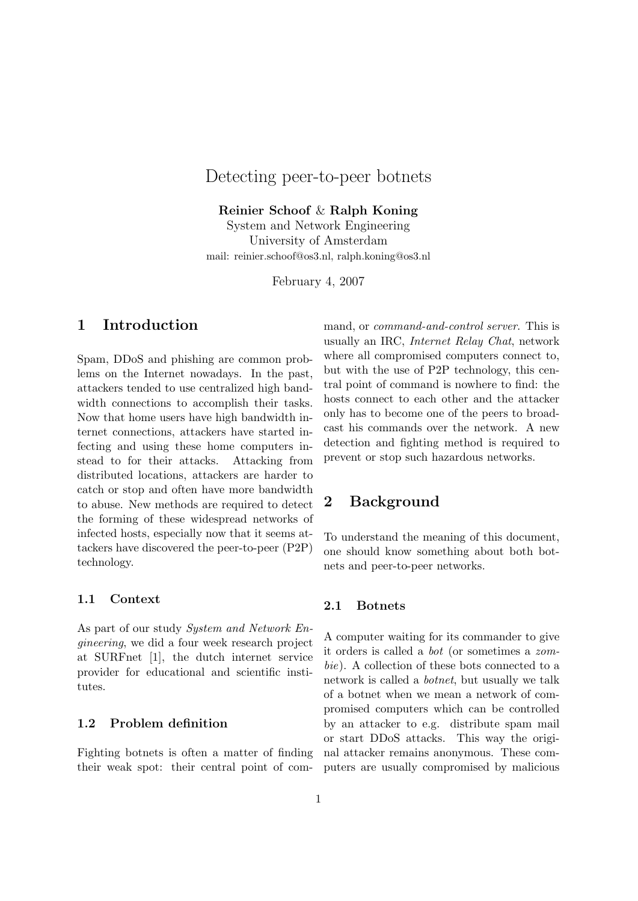# Detecting peer-to-peer botnets

Reinier Schoof & Ralph Koning System and Network Engineering

University of Amsterdam mail: reinier.schoof@os3.nl, ralph.koning@os3.nl

February 4, 2007

# 1 Introduction

Spam, DDoS and phishing are common problems on the Internet nowadays. In the past, attackers tended to use centralized high bandwidth connections to accomplish their tasks. Now that home users have high bandwidth internet connections, attackers have started infecting and using these home computers instead to for their attacks. Attacking from distributed locations, attackers are harder to catch or stop and often have more bandwidth to abuse. New methods are required to detect the forming of these widespread networks of infected hosts, especially now that it seems attackers have discovered the peer-to-peer (P2P) technology.

### 1.1 Context

As part of our study System and Network Engineering, we did a four week research project at SURFnet [1], the dutch internet service provider for educational and scientific institutes.

## 1.2 Problem definition

Fighting botnets is often a matter of finding their weak spot: their central point of command, or *command-and-control server*. This is usually an IRC, Internet Relay Chat, network where all compromised computers connect to, but with the use of P2P technology, this central point of command is nowhere to find: the hosts connect to each other and the attacker only has to become one of the peers to broadcast his commands over the network. A new detection and fighting method is required to prevent or stop such hazardous networks.

## 2 Background

To understand the meaning of this document, one should know something about both botnets and peer-to-peer networks.

### 2.1 Botnets

A computer waiting for its commander to give it orders is called a bot (or sometimes a zombie). A collection of these bots connected to a network is called a botnet, but usually we talk of a botnet when we mean a network of compromised computers which can be controlled by an attacker to e.g. distribute spam mail or start DDoS attacks. This way the original attacker remains anonymous. These computers are usually compromised by malicious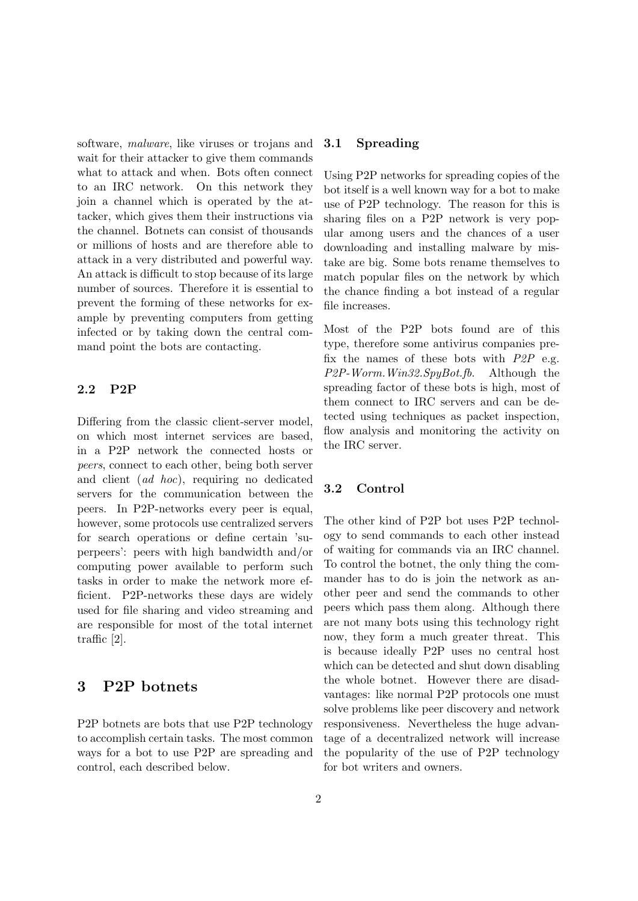software, malware, like viruses or trojans and wait for their attacker to give them commands what to attack and when. Bots often connect to an IRC network. On this network they join a channel which is operated by the attacker, which gives them their instructions via the channel. Botnets can consist of thousands or millions of hosts and are therefore able to attack in a very distributed and powerful way. An attack is difficult to stop because of its large number of sources. Therefore it is essential to prevent the forming of these networks for example by preventing computers from getting infected or by taking down the central command point the bots are contacting.

#### 2.2 P2P

Differing from the classic client-server model, on which most internet services are based, in a P2P network the connected hosts or peers, connect to each other, being both server and client (ad hoc), requiring no dedicated servers for the communication between the peers. In P2P-networks every peer is equal, however, some protocols use centralized servers for search operations or define certain 'superpeers': peers with high bandwidth and/or computing power available to perform such tasks in order to make the network more efficient. P2P-networks these days are widely used for file sharing and video streaming and are responsible for most of the total internet traffic [2].

## 3 P2P botnets

P2P botnets are bots that use P2P technology to accomplish certain tasks. The most common ways for a bot to use P2P are spreading and control, each described below.

### 3.1 Spreading

Using P2P networks for spreading copies of the bot itself is a well known way for a bot to make use of P2P technology. The reason for this is sharing files on a P2P network is very popular among users and the chances of a user downloading and installing malware by mistake are big. Some bots rename themselves to match popular files on the network by which the chance finding a bot instead of a regular file increases.

Most of the P2P bots found are of this type, therefore some antivirus companies prefix the names of these bots with  $P2P$  e.g. P2P-Worm.Win32.SpyBot.fb. Although the spreading factor of these bots is high, most of them connect to IRC servers and can be detected using techniques as packet inspection, flow analysis and monitoring the activity on the IRC server.

## 3.2 Control

The other kind of P2P bot uses P2P technology to send commands to each other instead of waiting for commands via an IRC channel. To control the botnet, the only thing the commander has to do is join the network as another peer and send the commands to other peers which pass them along. Although there are not many bots using this technology right now, they form a much greater threat. This is because ideally P2P uses no central host which can be detected and shut down disabling the whole botnet. However there are disadvantages: like normal P2P protocols one must solve problems like peer discovery and network responsiveness. Nevertheless the huge advantage of a decentralized network will increase the popularity of the use of P2P technology for bot writers and owners.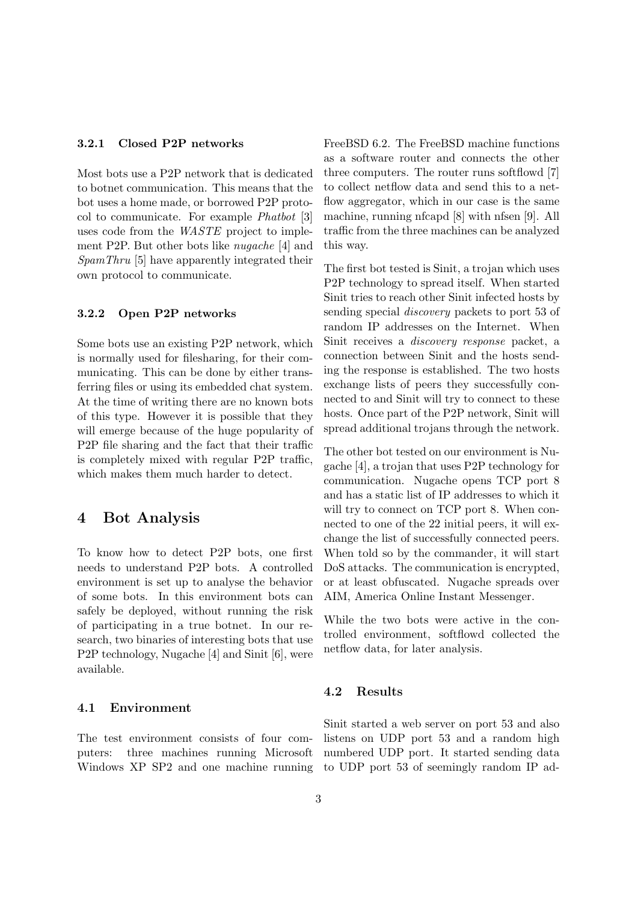#### 3.2.1 Closed P2P networks

Most bots use a P2P network that is dedicated to botnet communication. This means that the bot uses a home made, or borrowed P2P protocol to communicate. For example Phatbot [3] uses code from the WASTE project to implement P2P. But other bots like nugache [4] and SpamThru [5] have apparently integrated their own protocol to communicate.

### 3.2.2 Open P2P networks

Some bots use an existing P2P network, which is normally used for filesharing, for their communicating. This can be done by either transferring files or using its embedded chat system. At the time of writing there are no known bots of this type. However it is possible that they will emerge because of the huge popularity of P2P file sharing and the fact that their traffic is completely mixed with regular P2P traffic, which makes them much harder to detect.

## 4 Bot Analysis

To know how to detect P2P bots, one first needs to understand P2P bots. A controlled environment is set up to analyse the behavior of some bots. In this environment bots can safely be deployed, without running the risk of participating in a true botnet. In our research, two binaries of interesting bots that use P2P technology, Nugache [4] and Sinit [6], were available.

#### 4.1 Environment

The test environment consists of four computers: three machines running Microsoft FreeBSD 6.2. The FreeBSD machine functions as a software router and connects the other three computers. The router runs softflowd [7] to collect netflow data and send this to a netflow aggregator, which in our case is the same machine, running nfcapd [8] with nfsen [9]. All traffic from the three machines can be analyzed this way.

The first bot tested is Sinit, a trojan which uses P2P technology to spread itself. When started Sinit tries to reach other Sinit infected hosts by sending special discovery packets to port 53 of random IP addresses on the Internet. When Sinit receives a discovery response packet, a connection between Sinit and the hosts sending the response is established. The two hosts exchange lists of peers they successfully connected to and Sinit will try to connect to these hosts. Once part of the P2P network, Sinit will spread additional trojans through the network.

The other bot tested on our environment is Nugache [4], a trojan that uses P2P technology for communication. Nugache opens TCP port 8 and has a static list of IP addresses to which it will try to connect on TCP port 8. When connected to one of the 22 initial peers, it will exchange the list of successfully connected peers. When told so by the commander, it will start DoS attacks. The communication is encrypted, or at least obfuscated. Nugache spreads over AIM, America Online Instant Messenger.

While the two bots were active in the controlled environment, softflowd collected the netflow data, for later analysis.

#### 4.2 Results

Windows XP SP2 and one machine running to UDP port 53 of seemingly random IP ad-Sinit started a web server on port 53 and also listens on UDP port 53 and a random high numbered UDP port. It started sending data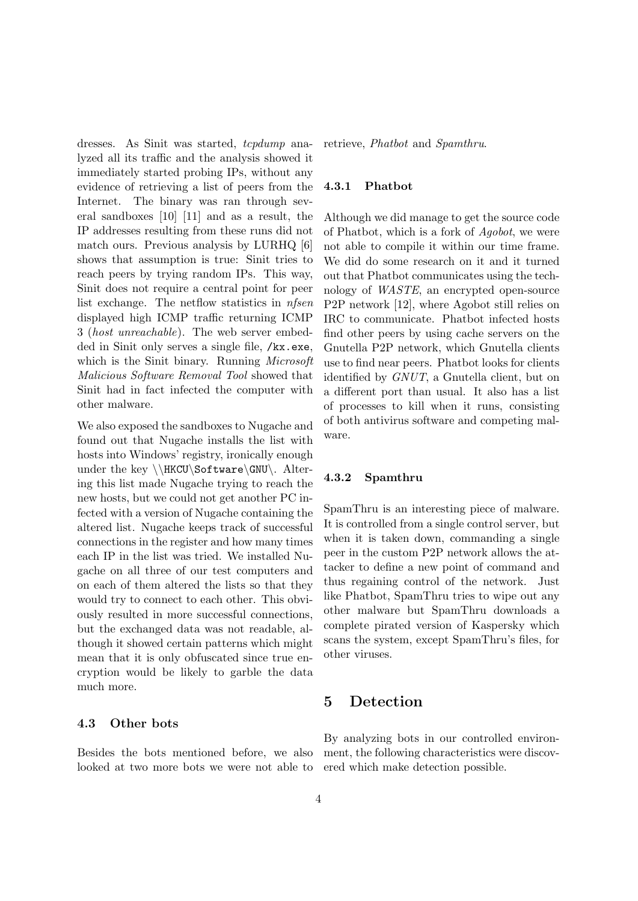dresses. As Sinit was started, *tcpdump* analyzed all its traffic and the analysis showed it immediately started probing IPs, without any evidence of retrieving a list of peers from the Internet. The binary was ran through several sandboxes [10] [11] and as a result, the IP addresses resulting from these runs did not match ours. Previous analysis by LURHQ [6] shows that assumption is true: Sinit tries to reach peers by trying random IPs. This way, Sinit does not require a central point for peer list exchange. The netflow statistics in nfsen displayed high ICMP traffic returning ICMP 3 (host unreachable). The web server embedded in Sinit only serves a single file, /kx.exe, which is the Sinit binary. Running *Microsoft* Malicious Software Removal Tool showed that Sinit had in fact infected the computer with other malware.

We also exposed the sandboxes to Nugache and found out that Nugache installs the list with hosts into Windows' registry, ironically enough under the key \\HKCU\Software\GNU\. Altering this list made Nugache trying to reach the new hosts, but we could not get another PC infected with a version of Nugache containing the altered list. Nugache keeps track of successful connections in the register and how many times each IP in the list was tried. We installed Nugache on all three of our test computers and on each of them altered the lists so that they would try to connect to each other. This obviously resulted in more successful connections, but the exchanged data was not readable, although it showed certain patterns which might mean that it is only obfuscated since true encryption would be likely to garble the data much more.

#### 4.3 Other bots

Besides the bots mentioned before, we also looked at two more bots we were not able to retrieve, Phatbot and Spamthru.

#### 4.3.1 Phatbot

Although we did manage to get the source code of Phatbot, which is a fork of Agobot, we were not able to compile it within our time frame. We did do some research on it and it turned out that Phatbot communicates using the technology of WASTE, an encrypted open-source P2P network [12], where Agobot still relies on IRC to communicate. Phatbot infected hosts find other peers by using cache servers on the Gnutella P2P network, which Gnutella clients use to find near peers. Phatbot looks for clients identified by GNUT, a Gnutella client, but on a different port than usual. It also has a list of processes to kill when it runs, consisting of both antivirus software and competing malware.

## 4.3.2 Spamthru

SpamThru is an interesting piece of malware. It is controlled from a single control server, but when it is taken down, commanding a single peer in the custom P2P network allows the attacker to define a new point of command and thus regaining control of the network. Just like Phatbot, SpamThru tries to wipe out any other malware but SpamThru downloads a complete pirated version of Kaspersky which scans the system, except SpamThru's files, for other viruses.

## 5 Detection

By analyzing bots in our controlled environment, the following characteristics were discovered which make detection possible.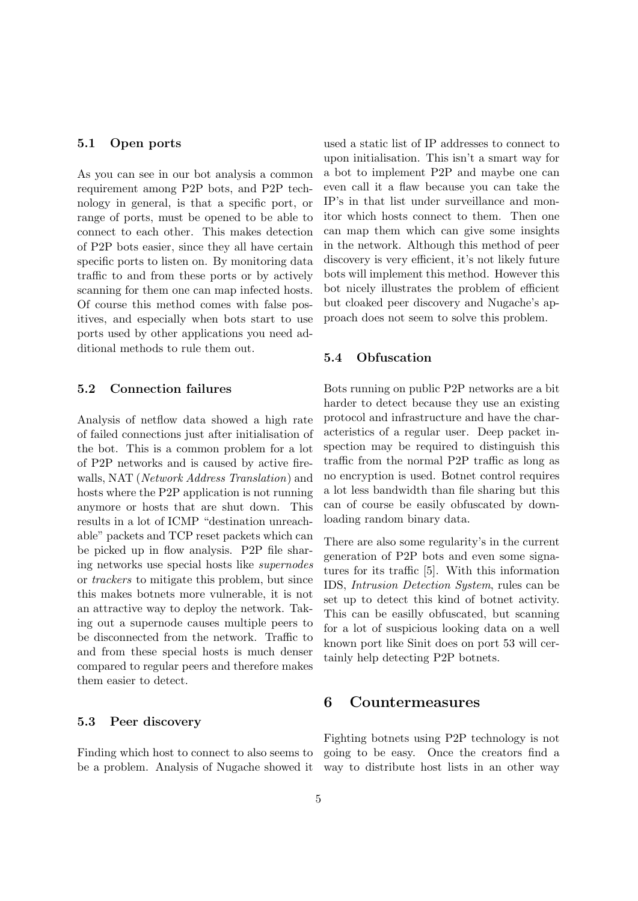#### 5.1 Open ports

As you can see in our bot analysis a common requirement among P2P bots, and P2P technology in general, is that a specific port, or range of ports, must be opened to be able to connect to each other. This makes detection of P2P bots easier, since they all have certain specific ports to listen on. By monitoring data traffic to and from these ports or by actively scanning for them one can map infected hosts. Of course this method comes with false positives, and especially when bots start to use ports used by other applications you need additional methods to rule them out.

### 5.2 Connection failures

Analysis of netflow data showed a high rate of failed connections just after initialisation of the bot. This is a common problem for a lot of P2P networks and is caused by active firewalls, NAT (Network Address Translation) and hosts where the P2P application is not running anymore or hosts that are shut down. This results in a lot of ICMP "destination unreachable" packets and TCP reset packets which can be picked up in flow analysis. P2P file sharing networks use special hosts like supernodes or trackers to mitigate this problem, but since this makes botnets more vulnerable, it is not an attractive way to deploy the network. Taking out a supernode causes multiple peers to be disconnected from the network. Traffic to and from these special hosts is much denser compared to regular peers and therefore makes them easier to detect.

#### 5.3 Peer discovery

Finding which host to connect to also seems to be a problem. Analysis of Nugache showed it way to distribute host lists in an other way

used a static list of IP addresses to connect to upon initialisation. This isn't a smart way for a bot to implement P2P and maybe one can even call it a flaw because you can take the IP's in that list under surveillance and monitor which hosts connect to them. Then one can map them which can give some insights in the network. Although this method of peer discovery is very efficient, it's not likely future bots will implement this method. However this bot nicely illustrates the problem of efficient but cloaked peer discovery and Nugache's approach does not seem to solve this problem.

## 5.4 Obfuscation

Bots running on public P2P networks are a bit harder to detect because they use an existing protocol and infrastructure and have the characteristics of a regular user. Deep packet inspection may be required to distinguish this traffic from the normal P2P traffic as long as no encryption is used. Botnet control requires a lot less bandwidth than file sharing but this can of course be easily obfuscated by downloading random binary data.

There are also some regularity's in the current generation of P2P bots and even some signatures for its traffic [5]. With this information IDS, Intrusion Detection System, rules can be set up to detect this kind of botnet activity. This can be easilly obfuscated, but scanning for a lot of suspicious looking data on a well known port like Sinit does on port 53 will certainly help detecting P2P botnets.

## 6 Countermeasures

Fighting botnets using P2P technology is not going to be easy. Once the creators find a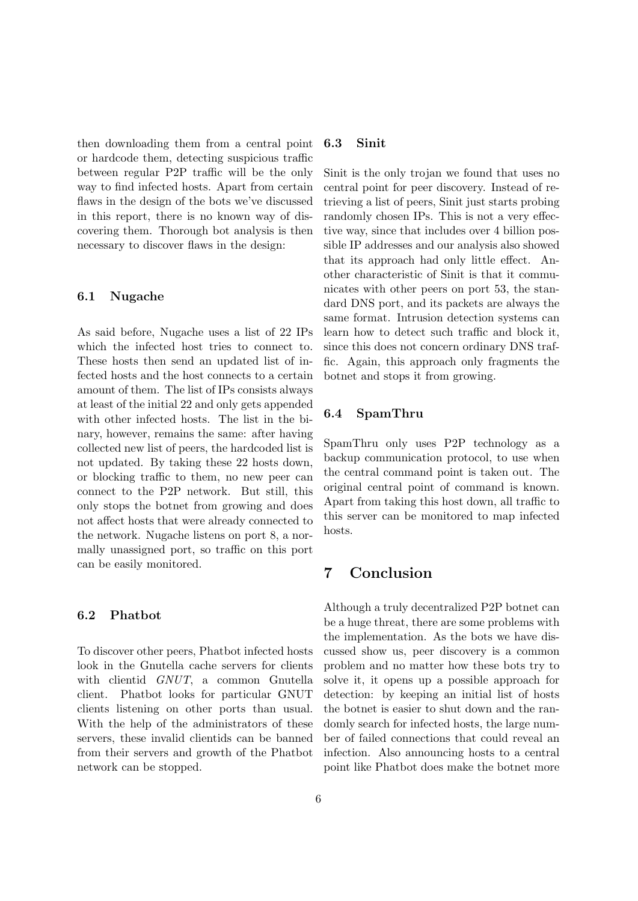then downloading them from a central point or hardcode them, detecting suspicious traffic between regular P2P traffic will be the only way to find infected hosts. Apart from certain flaws in the design of the bots we've discussed in this report, there is no known way of discovering them. Thorough bot analysis is then necessary to discover flaws in the design:

#### 6.1 Nugache

As said before, Nugache uses a list of 22 IPs which the infected host tries to connect to. These hosts then send an updated list of infected hosts and the host connects to a certain amount of them. The list of IPs consists always at least of the initial 22 and only gets appended with other infected hosts. The list in the binary, however, remains the same: after having collected new list of peers, the hardcoded list is not updated. By taking these 22 hosts down, or blocking traffic to them, no new peer can connect to the P2P network. But still, this only stops the botnet from growing and does not affect hosts that were already connected to the network. Nugache listens on port 8, a normally unassigned port, so traffic on this port can be easily monitored.

#### 6.2 Phatbot

To discover other peers, Phatbot infected hosts look in the Gnutella cache servers for clients with clientid GNUT, a common Gnutella client. Phatbot looks for particular GNUT clients listening on other ports than usual. With the help of the administrators of these servers, these invalid clientids can be banned from their servers and growth of the Phatbot network can be stopped.

### 6.3 Sinit

Sinit is the only trojan we found that uses no central point for peer discovery. Instead of retrieving a list of peers, Sinit just starts probing randomly chosen IPs. This is not a very effective way, since that includes over 4 billion possible IP addresses and our analysis also showed that its approach had only little effect. Another characteristic of Sinit is that it communicates with other peers on port 53, the standard DNS port, and its packets are always the same format. Intrusion detection systems can learn how to detect such traffic and block it, since this does not concern ordinary DNS traffic. Again, this approach only fragments the botnet and stops it from growing.

### 6.4 SpamThru

SpamThru only uses P2P technology as a backup communication protocol, to use when the central command point is taken out. The original central point of command is known. Apart from taking this host down, all traffic to this server can be monitored to map infected hosts.

## 7 Conclusion

Although a truly decentralized P2P botnet can be a huge threat, there are some problems with the implementation. As the bots we have discussed show us, peer discovery is a common problem and no matter how these bots try to solve it, it opens up a possible approach for detection: by keeping an initial list of hosts the botnet is easier to shut down and the randomly search for infected hosts, the large number of failed connections that could reveal an infection. Also announcing hosts to a central point like Phatbot does make the botnet more